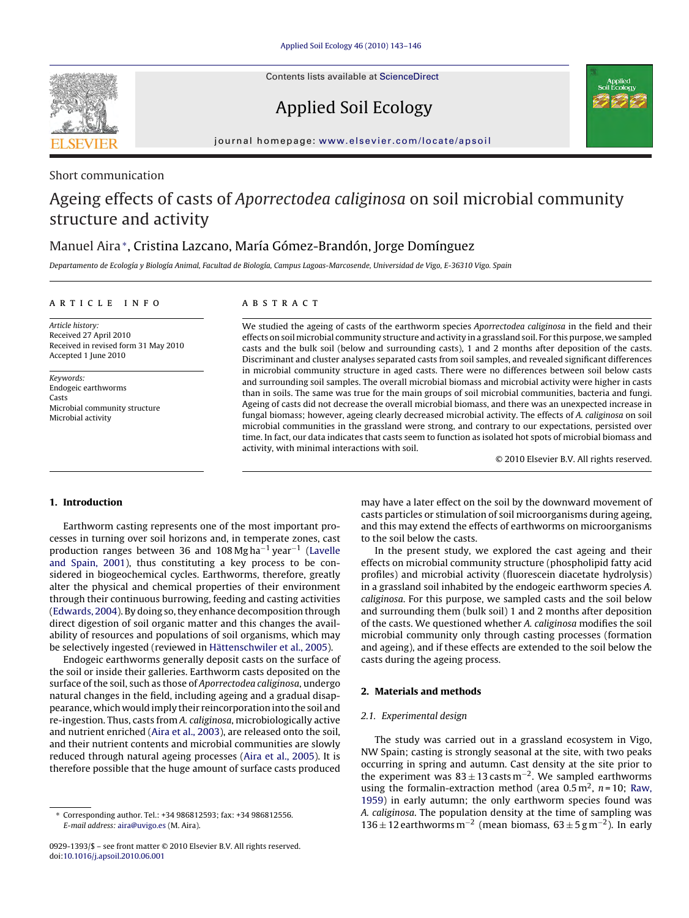Contents lists available at [ScienceDirect](http://www.sciencedirect.com/science/journal/09291393)

# Applied Soil Ecology



journal homepage: [www.elsevier.com/locate/apsoil](http://www.elsevier.com/locate/apsoil)

# Short communication

# Ageing effects of casts of Aporrectodea caliginosa on soil microbial community structure and activity

# Manuel Aira∗, Cristina Lazcano, María Gómez-Brandón, Jorge Domínguez

Departamento de Ecología y Biología Animal, Facultad de Biología, Campus Lagoas-Marcosende, Universidad de Vigo, E-36310 Vigo. Spain

#### article info

Article history: Received 27 April 2010 Received in revised form 31 May 2010 Accepted 1 June 2010

Keywords: Endogeic earthworms Casts Microbial community structure Microbial activity

# **ABSTRACT**

We studied the ageing of casts of the earthworm species Aporrectodea caliginosa in the field and their effects on soil microbial community structure and activity in a grassland soil. For this purpose, we sampled casts and the bulk soil (below and surrounding casts), 1 and 2 months after deposition of the casts. Discriminant and cluster analyses separated casts from soil samples, and revealed significant differences in microbial community structure in aged casts. There were no differences between soil below casts and surrounding soil samples. The overall microbial biomass and microbial activity were higher in casts than in soils. The same was true for the main groups of soil microbial communities, bacteria and fungi. Ageing of casts did not decrease the overall microbial biomass, and there was an unexpected increase in fungal biomass; however, ageing clearly decreased microbial activity. The effects of A. caliginosa on soil microbial communities in the grassland were strong, and contrary to our expectations, persisted over time. In fact, our data indicates that casts seem to function as isolated hot spots of microbial biomass and activity, with minimal interactions with soil.

© 2010 Elsevier B.V. All rights reserved.

### **1. Introduction**

Earthworm casting represents one of the most important processes in turning over soil horizons and, in temperate zones, cast production ranges between 36 and 108 Mg ha−<sup>1</sup> year−<sup>1</sup> ([Lavelle](#page-3-0) [and Spain, 2001\),](#page-3-0) thus constituting a key process to be considered in biogeochemical cycles. Earthworms, therefore, greatly alter the physical and chemical properties of their environment through their continuous burrowing, feeding and casting activities ([Edwards, 2004\).](#page-3-0) By doing so, they enhance decomposition through direct digestion of soil organic matter and this changes the availability of resources and populations of soil organisms, which may be selectively ingested (reviewed in [Hättenschwiler et al., 2005\).](#page-3-0)

Endogeic earthworms generally deposit casts on the surface of the soil or inside their galleries. Earthworm casts deposited on the surface of the soil, such as those of Aporrectodea caliginosa, undergo natural changes in the field, including ageing and a gradual disappearance, which would imply their reincorporation into the soil and re-ingestion. Thus, casts from A. caliginosa, microbiologically active and nutrient enriched [\(Aira et al., 2003\),](#page-3-0) are released onto the soil, and their nutrient contents and microbial communities are slowly reduced through natural ageing processes ([Aira et al., 2005\).](#page-3-0) It is therefore possible that the huge amount of surface casts produced

may have a later effect on the soil by the downward movement of casts particles or stimulation of soil microorganisms during ageing, and this may extend the effects of earthworms on microorganisms to the soil below the casts.

In the present study, we explored the cast ageing and their effects on microbial community structure (phospholipid fatty acid profiles) and microbial activity (fluorescein diacetate hydrolysis) in a grassland soil inhabited by the endogeic earthworm species A. caliginosa. For this purpose, we sampled casts and the soil below and surrounding them (bulk soil) 1 and 2 months after deposition of the casts. We questioned whether A. caliginosa modifies the soil microbial community only through casting processes (formation and ageing), and if these effects are extended to the soil below the casts during the ageing process.

### **2. Materials and methods**

#### 2.1. Experimental design

The study was carried out in a grassland ecosystem in Vigo, NW Spain; casting is strongly seasonal at the site, with two peaks occurring in spring and autumn. Cast density at the site prior to the experiment was  $83 \pm 13$  casts m<sup>-2</sup>. We sampled earthworms using the formalin-extraction method (area  $0.5 \text{ m}^2$ ,  $n = 10$ ; [Raw,](#page-3-0) [1959\)](#page-3-0) in early autumn; the only earthworm species found was A. caliginosa. The population density at the time of sampling was 136 ± 12 earthworms m<sup>-2</sup> (mean biomass,  $63 \pm 5$  g m<sup>-2</sup>). In early

<sup>∗</sup> Corresponding author. Tel.: +34 986812593; fax: +34 986812556. E-mail address: [aira@uvigo.es](mailto:aira@uvigo.es) (M. Aira).

<sup>0929-1393/\$ –</sup> see front matter © 2010 Elsevier B.V. All rights reserved. doi:[10.1016/j.apsoil.2010.06.001](dx.doi.org/10.1016/j.apsoil.2010.06.001)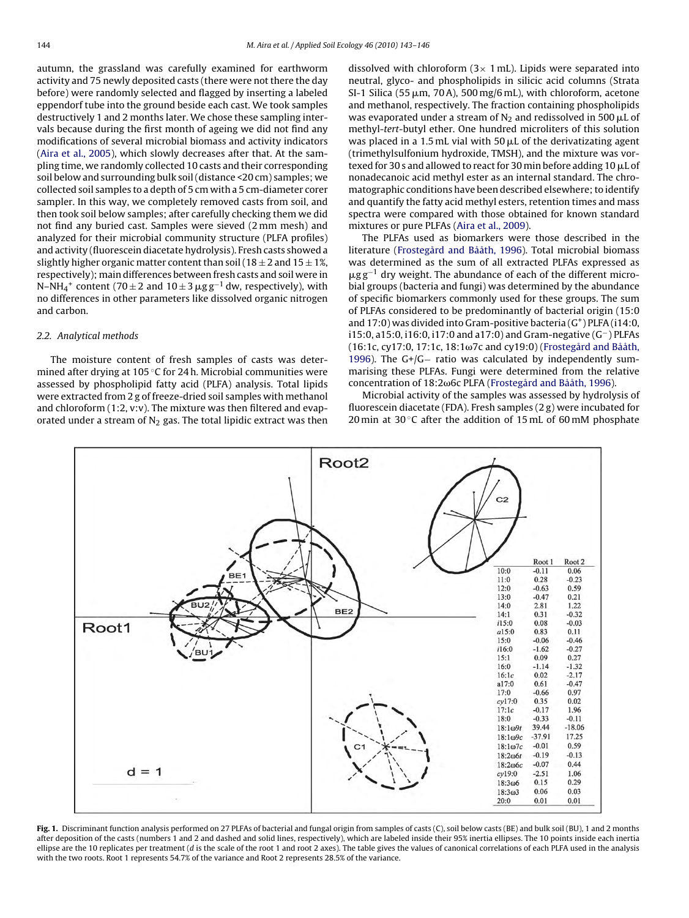<span id="page-1-0"></span>autumn, the grassland was carefully examined for earthworm activity and 75 newly deposited casts (there were not there the day before) were randomly selected and flagged by inserting a labeled eppendorf tube into the ground beside each cast. We took samples destructively 1 and 2 months later. We chose these sampling intervals because during the first month of ageing we did not find any modifications of several microbial biomass and activity indicators ([Aira et al., 2005\),](#page-3-0) which slowly decreases after that. At the sampling time, we randomly collected 10 casts and their corresponding soil below and surrounding bulk soil (distance <20 cm) samples; we collected soil samples to a depth of 5 cm with a 5 cm-diameter corer sampler. In this way, we completely removed casts from soil, and then took soil below samples; after carefully checking them we did not find any buried cast. Samples were sieved (2 mm mesh) and analyzed for their microbial community structure (PLFA profiles) and activity (fluorescein diacetate hydrolysis). Fresh casts showed a slightly higher organic matter content than soil (18  $\pm$  2 and 15  $\pm$  1%, respectively); main differences between fresh casts and soil were in N–NH<sub>4</sub><sup>+</sup> content (70±2 and 10±3  $\mu$ g g<sup>–1</sup> dw, respectively), with no differences in other parameters like dissolved organic nitrogen and carbon.

#### 2.2. Analytical methods

The moisture content of fresh samples of casts was determined after drying at 105 ◦C for 24 h. Microbial communities were assessed by phospholipid fatty acid (PLFA) analysis. Total lipids were extracted from 2 g of freeze-dried soil samples with methanol and chloroform (1:2, v:v). The mixture was then filtered and evaporated under a stream of  $N_2$  gas. The total lipidic extract was then dissolved with chloroform  $(3 \times 1$  mL). Lipids were separated into neutral, glyco- and phospholipids in silicic acid columns (Strata SI-1 Silica (55 µm, 70 A), 500 mg/6 mL), with chloroform, acetone and methanol, respectively. The fraction containing phospholipids was evaporated under a stream of  $\rm N_2$  and redissolved in 500  $\rm \mu L$  of methyl-tert-butyl ether. One hundred microliters of this solution was placed in a 1.5 mL vial with 50  $\mu$ L of the derivatizating agent (trimethylsulfonium hydroxide, TMSH), and the mixture was vortexed for 30 s and allowed to react for 30 min before adding 10  $\rm \mu L$  of nonadecanoic acid methyl ester as an internal standard. The chromatographic conditions have been described elsewhere; to identify and quantify the fatty acid methyl esters, retention times and mass spectra were compared with those obtained for known standard mixtures or pure PLFAs [\(Aira et al., 2009\).](#page-3-0)

The PLFAs used as biomarkers were those described in the literature ([Frostegård and Bååth, 1996\).](#page-3-0) Total microbial biomass was determined as the sum of all extracted PLFAs expressed as  $\mu$ gg<sup>-1</sup> dry weight. The abundance of each of the different microbial groups (bacteria and fungi) was determined by the abundance of specific biomarkers commonly used for these groups. The sum of PLFAs considered to be predominantly of bacterial origin (15:0 and  $17:0$ ) was divided into Gram-positive bacteria  $(G<sup>+</sup>)$  PLFA (i14:0, i15:0, a15:0, i16:0, i17:0 and a17:0) and Gram-negative (G−) PLFAs  $(16:1c, cy17:0, 17:1c, 18:1ω7c, and cy19:0)$  [\(Frostegård and Bååth,](#page-3-0) [1996\).](#page-3-0) The G+/G− ratio was calculated by independently summarising these PLFAs. Fungi were determined from the relative concentration of 18:2<sub>00</sub>6c PLFA [\(Frostegård and Bååth, 1996\).](#page-3-0)

Microbial activity of the samples was assessed by hydrolysis of fluorescein diacetate (FDA). Fresh samples (2 g) were incubated for 20 min at 30 $\degree$ C after the addition of 15 mL of 60 mM phosphate



**Fig. 1.** Discriminant function analysis performed on 27 PLFAs of bacterial and fungal origin from samples of casts (C), soil below casts (BE) and bulk soil (BU), 1 and 2 months after deposition of the casts (numbers 1 and 2 and dashed and solid lines, respectively), which are labeled inside their 95% inertia ellipses. The 10 points inside each inertia ellipse are the 10 replicates per treatment ( $d$  is the scale of the root 1 and root 2 axes). The table gives the values of canonical correlations of each PLFA used in the analysis with the two roots. Root 1 represents 54.7% of the variance and Root 2 represents 28.5% of the variance.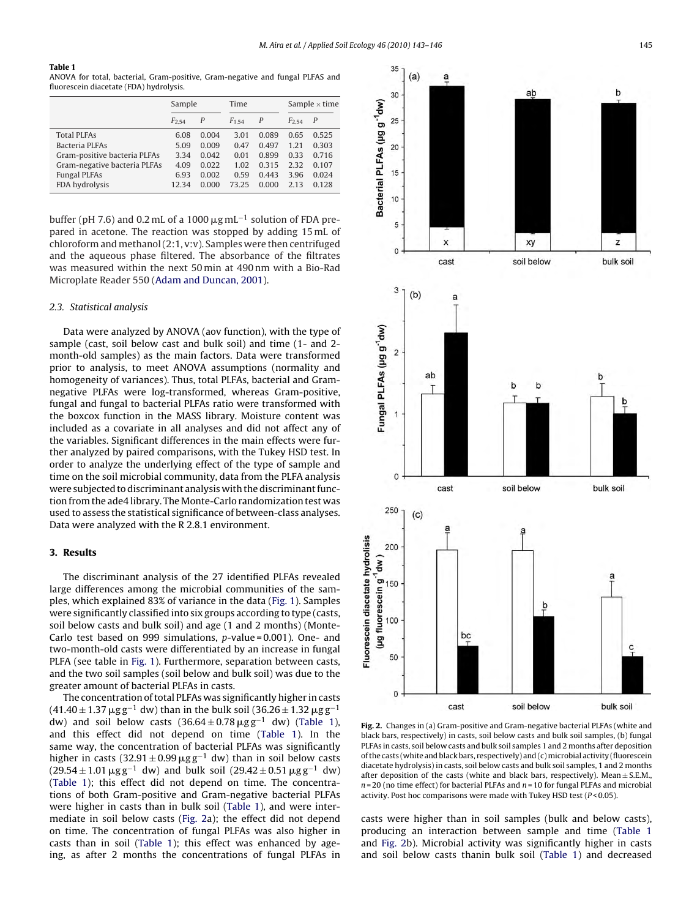#### <span id="page-2-0"></span>**Table 1**

ANOVA for total, bacterial, Gram-positive, Gram-negative and fungal PLFAS and fluorescein diacetate (FDA) hydrolysis.

| Sample     |       | Time       |       | Sample $\times$ time |                |
|------------|-------|------------|-------|----------------------|----------------|
| $F_{2.54}$ | P     | $F_{1.54}$ | P     | $F_{2.54}$           | $\overline{P}$ |
| 6.08       | 0.004 | 3.01       | 0.089 | 0.65                 | 0.525          |
| 5.09       | 0.009 | 0.47       | 0.497 | 1.21                 | 0.303          |
| 3.34       | 0.042 | 0.01       | 0.899 | 0.33                 | 0.716          |
| 4.09       | 0.022 | 1.02       | 0.315 | 2.32                 | 0.107          |
| 6.93       | 0.002 | 0.59       | 0.443 | 3.96                 | 0.024          |
| 12.34      | 0.000 | 7325       | 0.000 | 2.13                 | 0.128          |
|            |       |            |       |                      |                |

buffer (pH 7.6) and 0.2 mL of a 1000  $\mu$ g mL<sup>-1</sup> solution of FDA prepared in acetone. The reaction was stopped by adding 15 mL of chloroform and methanol (2:1, v:v). Samples were then centrifuged and the aqueous phase filtered. The absorbance of the filtrates was measured within the next 50 min at 490 nm with a Bio-Rad Microplate Reader 550 [\(Adam and Duncan, 2001\).](#page-3-0)

#### 2.3. Statistical analysis

Data were analyzed by ANOVA (aov function), with the type of sample (cast, soil below cast and bulk soil) and time (1- and 2 month-old samples) as the main factors. Data were transformed prior to analysis, to meet ANOVA assumptions (normality and homogeneity of variances). Thus, total PLFAs, bacterial and Gramnegative PLFAs were log-transformed, whereas Gram-positive, fungal and fungal to bacterial PLFAs ratio were transformed with the boxcox function in the MASS library. Moisture content was included as a covariate in all analyses and did not affect any of the variables. Significant differences in the main effects were further analyzed by paired comparisons, with the Tukey HSD test. In order to analyze the underlying effect of the type of sample and time on the soil microbial community, data from the PLFA analysis were subjected to discriminant analysis with the discriminant function from the ade4 library. The Monte-Carlo randomization test was used to assess the statistical significance of between-class analyses. Data were analyzed with the R 2.8.1 environment.

#### **3. Results**

The discriminant analysis of the 27 identified PLFAs revealed large differences among the microbial communities of the samples, which explained 83% of variance in the data [\(Fig. 1\).](#page-1-0) Samples were significantly classified into six groups according to type (casts, soil below casts and bulk soil) and age (1 and 2 months) (Monte-Carlo test based on 999 simulations, p-value = 0.001). One- and two-month-old casts were differentiated by an increase in fungal PLFA (see table in [Fig. 1\).](#page-1-0) Furthermore, separation between casts, and the two soil samples (soil below and bulk soil) was due to the greater amount of bacterial PLFAs in casts.

The concentration of total PLFAs was significantly higher in casts  $(41.40 \pm 1.37 \,\mu\text{g}\,\text{g}^{-1}$  dw) than in the bulk soil (36.26  $\pm$  1.32  $\mu\text{g}\,\text{g}^{-1}$ dw) and soil below casts  $(36.64 \pm 0.78 \,\mu g g^{-1}$  dw) (Table 1), and this effect did not depend on time (Table 1). In the same way, the concentration of bacterial PLFAs was significantly higher in casts (32.91  $\pm$  0.99  $\mu$ gg<sup>-1</sup> dw) than in soil below casts  $(29.54 \pm 1.01 \,\mu\text{g}\,\text{g}^{-1}$  dw) and bulk soil  $(29.42 \pm 0.51 \,\mu\text{g}\,\text{g}^{-1}$  dw) (Table 1); this effect did not depend on time. The concentrations of both Gram-positive and Gram-negative bacterial PLFAs were higher in casts than in bulk soil (Table 1), and were intermediate in soil below casts (Fig. 2a); the effect did not depend on time. The concentration of fungal PLFAs was also higher in casts than in soil (Table 1); this effect was enhanced by ageing, as after 2 months the concentrations of fungal PLFAs in

![](_page_2_Figure_10.jpeg)

**Fig. 2.** Changes in (a) Gram-positive and Gram-negative bacterial PLFAs (white and black bars, respectively) in casts, soil below casts and bulk soil samples, (b) fungal PLFAs in casts, soil below casts and bulk soil samples 1 and 2 months after deposition of the casts (white and black bars, respectively) and (c)microbial activity (fluorescein diacetate hydrolysis) in casts, soil below casts and bulk soil samples, 1 and 2 months after deposition of the casts (white and black bars, respectively). Mean  $\pm$  S.E.M.  $n = 20$  (no time effect) for bacterial PLFAs and  $n = 10$  for fungal PLFAs and microbial activity. Post hoc comparisons were made with Tukey HSD test ( $P < 0.05$ ).

casts were higher than in soil samples (bulk and below casts), producing an interaction between sample and time (Table 1 and Fig. 2b). Microbial activity was significantly higher in casts and soil below casts thanin bulk soil (Table 1) and decreased